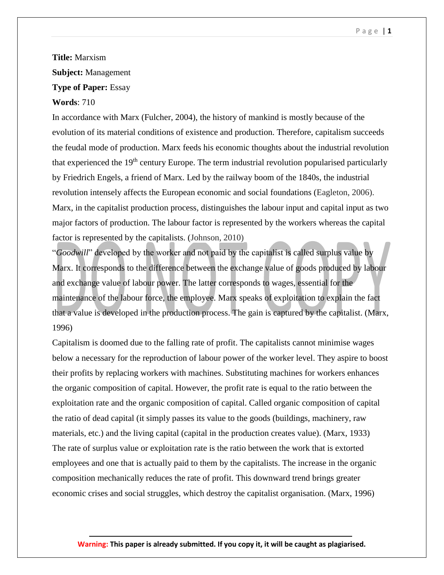## **Title:** Marxism **Subject:** Management **Type of Paper:** Essay **Words**: 710

In accordance with Marx (Fulcher, 2004), the history of mankind is mostly because of the evolution of its material conditions of existence and production. Therefore, capitalism succeeds the feudal mode of production. Marx feeds his economic thoughts about the industrial revolution that experienced the 19<sup>th</sup> century Europe. The term industrial revolution popularised particularly by Friedrich Engels, a friend of Marx. Led by the railway boom of the 1840s, the industrial revolution intensely affects the European economic and social foundations (Eagleton, 2006). Marx, in the capitalist production process, distinguishes the labour input and capital input as two major factors of production. The labour factor is represented by the workers whereas the capital factor is represented by the capitalists. (Johnson, 2010)

"*Goodwill*" developed by the worker and not paid by the capitalist is called surplus value by Marx. It corresponds to the difference between the exchange value of goods produced by labour and exchange value of labour power. The latter corresponds to wages, essential for the maintenance of the labour force, the employee. Marx speaks of exploitation to explain the fact that a value is developed in the production process. The gain is captured by the capitalist. (Marx, 1996)

Capitalism is doomed due to the falling rate of profit. The capitalists cannot minimise wages below a necessary for the reproduction of labour power of the worker level. They aspire to boost their profits by replacing workers with machines. Substituting machines for workers enhances the organic composition of capital. However, the profit rate is equal to the ratio between the exploitation rate and the organic composition of capital. Called organic composition of capital the ratio of dead capital (it simply passes its value to the goods (buildings, machinery, raw materials, etc.) and the living capital (capital in the production creates value). (Marx, 1933) The rate of surplus value or exploitation rate is the ratio between the work that is extorted employees and one that is actually paid to them by the capitalists. The increase in the organic composition mechanically reduces the rate of profit. This downward trend brings greater economic crises and social struggles, which destroy the capitalist organisation. (Marx, 1996)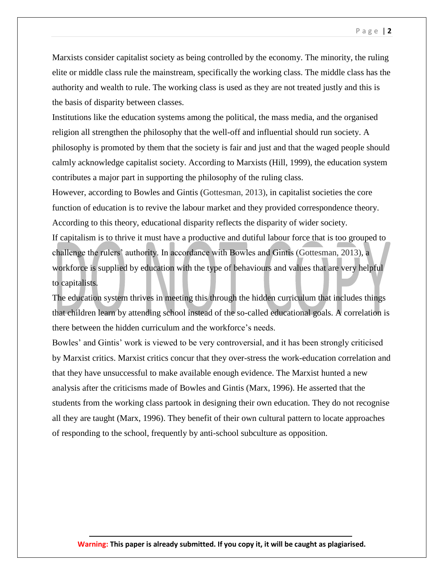Marxists consider capitalist society as being controlled by the economy. The minority, the ruling elite or middle class rule the mainstream, specifically the working class. The middle class has the authority and wealth to rule. The working class is used as they are not treated justly and this is the basis of disparity between classes.

Institutions like the education systems among the political, the mass media, and the organised religion all strengthen the philosophy that the well-off and influential should run society. A philosophy is promoted by them that the society is fair and just and that the waged people should calmly acknowledge capitalist society. According to Marxists (Hill, 1999), the education system contributes a major part in supporting the philosophy of the ruling class.

However, according to Bowles and Gintis (Gottesman, 2013), in capitalist societies the core function of education is to revive the labour market and they provided correspondence theory. According to this theory, educational disparity reflects the disparity of wider society. If capitalism is to thrive it must have a productive and dutiful labour force that is too grouped to challenge the rulers' authority. In accordance with Bowles and Gintis (Gottesman, 2013), a workforce is supplied by education with the type of behaviours and values that are very helpful to capitalists.

The education system thrives in meeting this through the hidden curriculum that includes things that children learn by attending school instead of the so-called educational goals. A correlation is there between the hidden curriculum and the workforce's needs.

Bowles' and Gintis' work is viewed to be very controversial, and it has been strongly criticised by Marxist critics. Marxist critics concur that they over-stress the work-education correlation and that they have unsuccessful to make available enough evidence. The Marxist hunted a new analysis after the criticisms made of Bowles and Gintis (Marx, 1996). He asserted that the students from the working class partook in designing their own education. They do not recognise all they are taught (Marx, 1996). They benefit of their own cultural pattern to locate approaches of responding to the school, frequently by anti-school subculture as opposition.